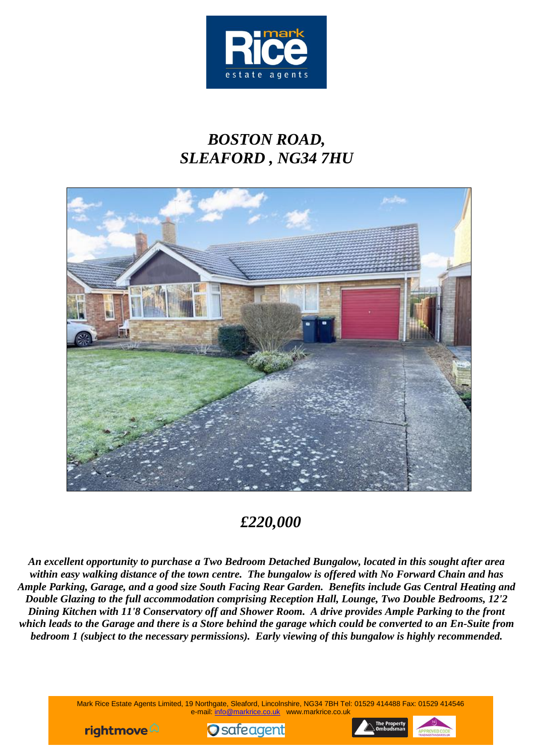

# *BOSTON ROAD, SLEAFORD , NG34 7HU*



# *£220,000*

*An excellent opportunity to purchase a Two Bedroom Detached Bungalow, located in this sought after area within easy walking distance of the town centre. The bungalow is offered with No Forward Chain and has Ample Parking, Garage, and a good size South Facing Rear Garden. Benefits include Gas Central Heating and Double Glazing to the full accommodation comprising Reception Hall, Lounge, Two Double Bedrooms, 12'2 Dining Kitchen with 11'8 Conservatory off and Shower Room. A drive provides Ample Parking to the front which leads to the Garage and there is a Store behind the garage which could be converted to an En-Suite from bedroom 1 (subject to the necessary permissions). Early viewing of this bungalow is highly recommended.*

> Mark Rice Estate Agents Limited, 19 Northgate, Sleaford, Lincolnshire, NG34 7BH Tel: 01529 414488 Fax: 01529 414546 e-mail: info@markrice.co.uk www.markrice.co.uk





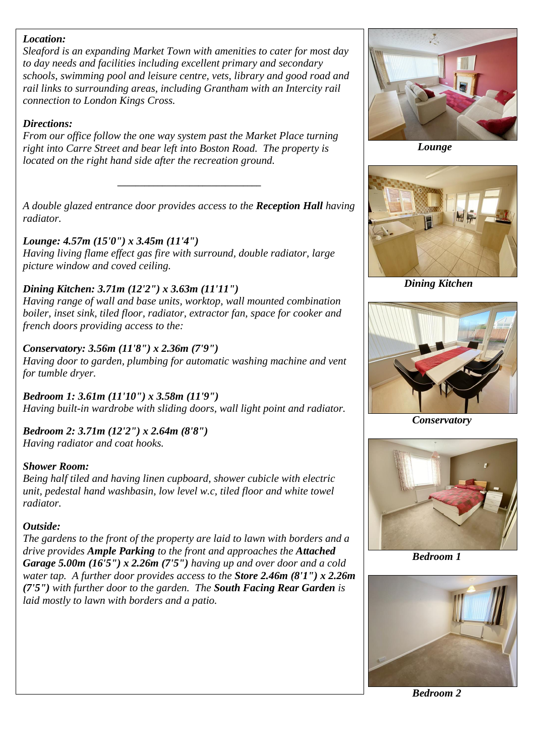#### *Location:*

*Sleaford is an expanding Market Town with amenities to cater for most day to day needs and facilities including excellent primary and secondary schools, swimming pool and leisure centre, vets, library and good road and rail links to surrounding areas, including Grantham with an Intercity rail connection to London Kings Cross.*

#### *Directions:*

*From our office follow the one way system past the Market Place turning right into Carre Street and bear left into Boston Road. The property is located on the right hand side after the recreation ground.*

*A double glazed entrance door provides access to the Reception Hall having radiator.*

*\_\_\_\_\_\_\_\_\_\_\_\_\_\_\_\_\_\_\_\_\_\_\_\_\_\_\_\_\_\_\_\_*

#### *Lounge: 4.57m (15'0") x 3.45m (11'4")*

*Having living flame effect gas fire with surround, double radiator, large picture window and coved ceiling.*

## *Dining Kitchen: 3.71m (12'2") x 3.63m (11'11")*

*Having range of wall and base units, worktop, wall mounted combination boiler, inset sink, tiled floor, radiator, extractor fan, space for cooker and french doors providing access to the:*

## *Conservatory: 3.56m (11'8") x 2.36m (7'9")*

*Having door to garden, plumbing for automatic washing machine and vent for tumble dryer.*

*Bedroom 1: 3.61m (11'10") x 3.58m (11'9") Having built-in wardrobe with sliding doors, wall light point and radiator.*

*Bedroom 2: 3.71m (12'2") x 2.64m (8'8") Having radiator and coat hooks.*

## *Shower Room:*

*Being half tiled and having linen cupboard, shower cubicle with electric unit, pedestal hand washbasin, low level w.c, tiled floor and white towel radiator.*

## *Outside:*

*The gardens to the front of the property are laid to lawn with borders and a drive provides Ample Parking to the front and approaches the Attached Garage 5.00m (16'5") x 2.26m (7'5") having up and over door and a cold water tap. A further door provides access to the Store 2.46m (8'1") x 2.26m (7'5") with further door to the garden. The South Facing Rear Garden is laid mostly to lawn with borders and a patio.*



 *Lounge*



*Dining Kitchen*



 *Conservatory*



 *Bedroom 1*



 *Bedroom 2*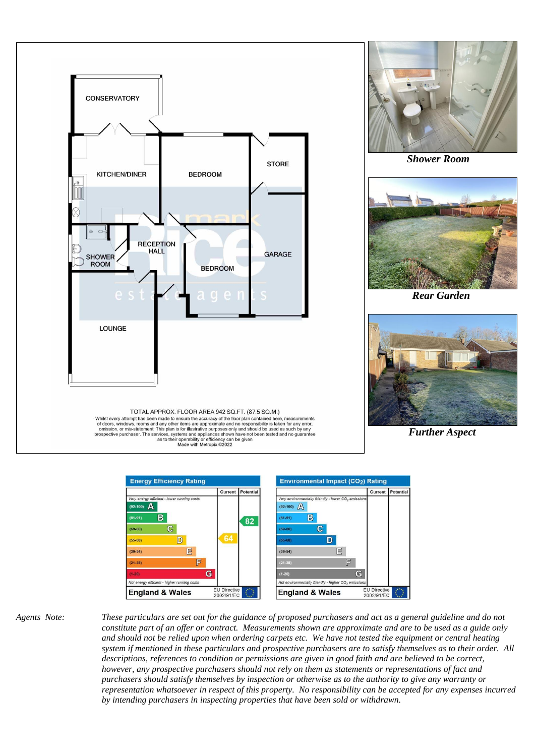



*Agents Note: These particulars are set out for the guidance of proposed purchasers and act as a general guideline and do not constitute part of an offer or contract. Measurements shown are approximate and are to be used as a guide only and should not be relied upon when ordering carpets etc. We have not tested the equipment or central heating system if mentioned in these particulars and prospective purchasers are to satisfy themselves as to their order. All descriptions, references to condition or permissions are given in good faith and are believed to be correct, however, any prospective purchasers should not rely on them as statements or representations of fact and purchasers should satisfy themselves by inspection or otherwise as to the authority to give any warranty or representation whatsoever in respect of this property. No responsibility can be accepted for any expenses incurred by intending purchasers in inspecting properties that have been sold or withdrawn.*